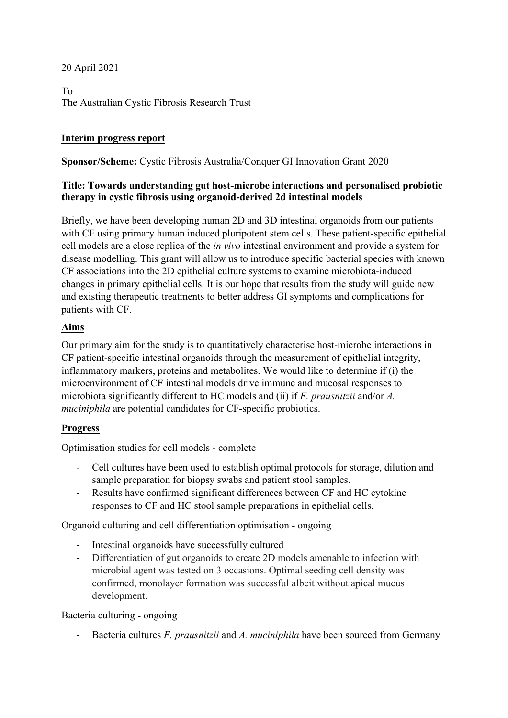## 20 April 2021

To The Australian Cystic Fibrosis Research Trust

## **Interim progress report**

#### **Sponsor/Scheme:** Cystic Fibrosis Australia/Conquer GI Innovation Grant 2020

#### **Title: Towards understanding gut host-microbe interactions and personalised probiotic therapy in cystic fibrosis using organoid-derived 2d intestinal models**

Briefly, we have been developing human 2D and 3D intestinal organoids from our patients with CF using primary human induced pluripotent stem cells. These patient-specific epithelial cell models are a close replica of the *in vivo* intestinal environment and provide a system for disease modelling. This grant will allow us to introduce specific bacterial species with known CF associations into the 2D epithelial culture systems to examine microbiota-induced changes in primary epithelial cells. It is our hope that results from the study will guide new and existing therapeutic treatments to better address GI symptoms and complications for patients with CF.

## **Aims**

Our primary aim for the study is to quantitatively characterise host-microbe interactions in CF patient-specific intestinal organoids through the measurement of epithelial integrity, inflammatory markers, proteins and metabolites. We would like to determine if (i) the microenvironment of CF intestinal models drive immune and mucosal responses to microbiota significantly different to HC models and (ii) if *F. prausnitzii* and/or *A. muciniphila* are potential candidates for CF-specific probiotics.

# **Progress**

Optimisation studies for cell models - complete

- Cell cultures have been used to establish optimal protocols for storage, dilution and sample preparation for biopsy swabs and patient stool samples.
- Results have confirmed significant differences between CF and HC cytokine responses to CF and HC stool sample preparations in epithelial cells.

Organoid culturing and cell differentiation optimisation - ongoing

- Intestinal organoids have successfully cultured
- Differentiation of gut organoids to create 2D models amenable to infection with microbial agent was tested on 3 occasions. Optimal seeding cell density was confirmed, monolayer formation was successful albeit without apical mucus development.

Bacteria culturing - ongoing

Bacteria cultures *F. prausnitzii* and *A. muciniphila* have been sourced from Germany